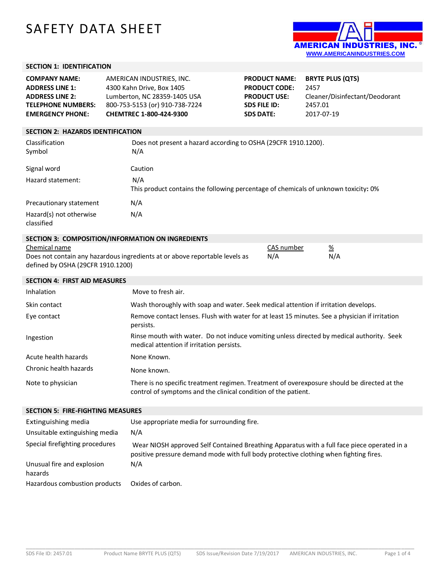# SAFETY DATA SHEET



### **SECTION 1: IDENTIFICATION**

| <b>COMPANY NAME:</b>      | AMERICAN INDUSTRIES, INC.      | <b>PRODUCT NAME:</b> | <b>BRYTE PLUS (QTS)</b>        |
|---------------------------|--------------------------------|----------------------|--------------------------------|
| <b>ADDRESS LINE 1:</b>    | 4300 Kahn Drive, Box 1405      | <b>PRODUCT CODE:</b> | 2457                           |
| <b>ADDRESS LINE 2:</b>    | Lumberton, NC 28359-1405 USA   | <b>PRODUCT USE:</b>  | Cleaner/Disinfectant/Deodorant |
| <b>TELEPHONE NUMBERS:</b> | 800-753-5153 (or) 910-738-7224 | <b>SDS FILE ID:</b>  | 2457.01                        |
| <b>EMERGENCY PHONE:</b>   | <b>CHEMTREC 1-800-424-9300</b> | <b>SDS DATE:</b>     | 2017-07-19                     |
|                           |                                |                      |                                |
|                           |                                |                      |                                |

#### **SECTION 2: HAZARDS IDENTIFICATION**

| Classification<br>Symbol              | Does not present a hazard according to OSHA (29CFR 1910.1200).<br>N/A                      |
|---------------------------------------|--------------------------------------------------------------------------------------------|
| Signal word                           | Caution                                                                                    |
| Hazard statement:                     | N/A<br>This product contains the following percentage of chemicals of unknown toxicity: 0% |
| Precautionary statement               | N/A                                                                                        |
| Hazard(s) not otherwise<br>classified | N/A                                                                                        |

# **SECTION 3: COMPOSITION/INFORMATION ON INGREDIENTS**

| Chemical name                                                               | CAS number | %   |
|-----------------------------------------------------------------------------|------------|-----|
| Does not contain any hazardous ingredients at or above reportable levels as | N/A        | N/A |
| defined by OSHA (29CFR 1910.1200)                                           |            |     |

| <b>SECTION 4: FIRST AID MEASURES</b> |                                                                                                                                                               |
|--------------------------------------|---------------------------------------------------------------------------------------------------------------------------------------------------------------|
| Inhalation                           | Move to fresh air.                                                                                                                                            |
| Skin contact                         | Wash thoroughly with soap and water. Seek medical attention if irritation develops.                                                                           |
| Eye contact                          | Remove contact lenses. Flush with water for at least 15 minutes. See a physician if irritation<br>persists.                                                   |
| Ingestion                            | Rinse mouth with water. Do not induce vomiting unless directed by medical authority. Seek<br>medical attention if irritation persists.                        |
| Acute health hazards                 | None Known.                                                                                                                                                   |
| Chronic health hazards               | None known.                                                                                                                                                   |
| Note to physician                    | There is no specific treatment regimen. Treatment of overexposure should be directed at the<br>control of symptoms and the clinical condition of the patient. |

#### **SECTION 5: FIRE-FIGHTING MEASURES**

| Extinguishing media<br>Unsuitable extinguishing media | Use appropriate media for surrounding fire.<br>N/A                                                                                                                                   |
|-------------------------------------------------------|--------------------------------------------------------------------------------------------------------------------------------------------------------------------------------------|
| Special firefighting procedures                       | Wear NIOSH approved Self Contained Breathing Apparatus with a full face piece operated in a<br>positive pressure demand mode with full body protective clothing when fighting fires. |
| Unusual fire and explosion<br>hazards                 | N/A                                                                                                                                                                                  |
| Hazardous combustion products                         | Oxides of carbon.                                                                                                                                                                    |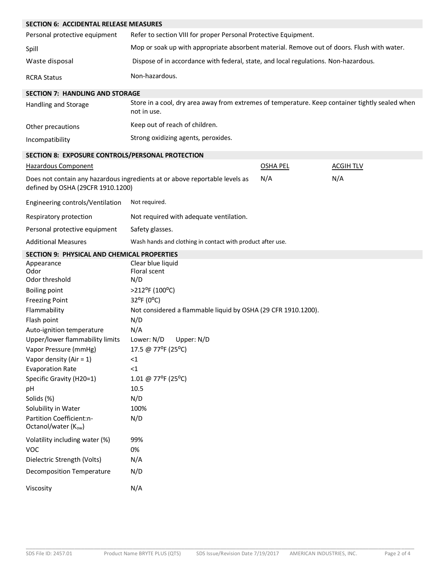| <b>SECTION 6: ACCIDENTAL RELEASE MEASURES</b>      |                                                                                                                |                 |                  |
|----------------------------------------------------|----------------------------------------------------------------------------------------------------------------|-----------------|------------------|
| Personal protective equipment                      | Refer to section VIII for proper Personal Protective Equipment.                                                |                 |                  |
| Spill                                              | Mop or soak up with appropriate absorbent material. Remove out of doors. Flush with water.                     |                 |                  |
| Waste disposal                                     | Dispose of in accordance with federal, state, and local regulations. Non-hazardous.                            |                 |                  |
| <b>RCRA Status</b>                                 | Non-hazardous.                                                                                                 |                 |                  |
| <b>SECTION 7: HANDLING AND STORAGE</b>             |                                                                                                                |                 |                  |
| Handling and Storage                               | Store in a cool, dry area away from extremes of temperature. Keep container tightly sealed when<br>not in use. |                 |                  |
| Other precautions                                  | Keep out of reach of children.                                                                                 |                 |                  |
| Incompatibility                                    | Strong oxidizing agents, peroxides.                                                                            |                 |                  |
| SECTION 8: EXPOSURE CONTROLS/PERSONAL PROTECTION   |                                                                                                                |                 |                  |
| Hazardous Component                                |                                                                                                                | <b>OSHA PEL</b> | <b>ACGIH TLV</b> |
| defined by OSHA (29CFR 1910.1200)                  | Does not contain any hazardous ingredients at or above reportable levels as                                    | N/A             | N/A              |
| Engineering controls/Ventilation                   | Not required.                                                                                                  |                 |                  |
| Respiratory protection                             | Not required with adequate ventilation.                                                                        |                 |                  |
| Personal protective equipment                      | Safety glasses.                                                                                                |                 |                  |
| <b>Additional Measures</b>                         | Wash hands and clothing in contact with product after use.                                                     |                 |                  |
| <b>SECTION 9: PHYSICAL AND CHEMICAL PROPERTIES</b> |                                                                                                                |                 |                  |
| Appearance<br>Odor<br>Odor threshold               | Clear blue liquid<br>Floral scent<br>N/D                                                                       |                 |                  |
| <b>Boiling point</b>                               | >212°F (100°C)                                                                                                 |                 |                  |
| <b>Freezing Point</b>                              | 32°F (0°C)                                                                                                     |                 |                  |
| Flammability                                       | Not considered a flammable liquid by OSHA (29 CFR 1910.1200).                                                  |                 |                  |
| Flash point                                        | N/D                                                                                                            |                 |                  |
| Auto-ignition temperature                          | N/A                                                                                                            |                 |                  |
| Upper/lower flammability limits                    | Lower: N/D<br>Upper: N/D                                                                                       |                 |                  |
| Vapor Pressure (mmHg)                              | 17.5 @ 77°F (25°C)                                                                                             |                 |                  |
| Vapor density (Air = $1$ )                         | $\leq$ 1                                                                                                       |                 |                  |
| <b>Evaporation Rate</b>                            | $\leq$ 1                                                                                                       |                 |                  |
| Specific Gravity (H20=1)                           | 1.01 @ 77°F (25°C)                                                                                             |                 |                  |
| pH                                                 | 10.5                                                                                                           |                 |                  |
| Solids (%)                                         | N/D                                                                                                            |                 |                  |
| Solubility in Water                                | 100%                                                                                                           |                 |                  |
| Partition Coefficient:n-<br>Octanol/water (Kow)    | N/D                                                                                                            |                 |                  |
| Volatility including water (%)                     | 99%                                                                                                            |                 |                  |
| <b>VOC</b>                                         | 0%                                                                                                             |                 |                  |
| Dielectric Strength (Volts)                        | N/A                                                                                                            |                 |                  |
| <b>Decomposition Temperature</b>                   | N/D                                                                                                            |                 |                  |
| Viscosity                                          | N/A                                                                                                            |                 |                  |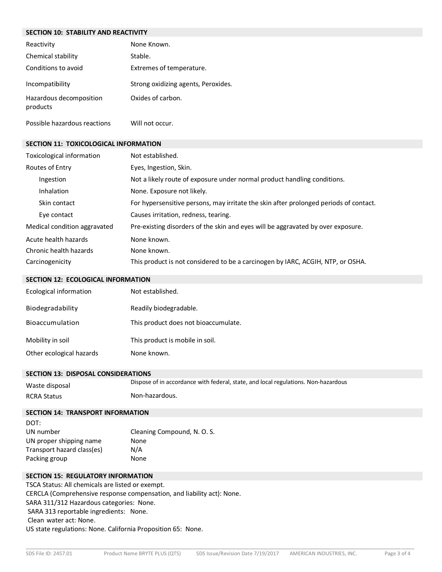# **SECTION 10: STABILITY AND REACTIVITY** Reactivity **None Known**. Chemical stability Stable. Conditions to avoid Extremes of temperature. Incompatibility Strong oxidizing agents, Peroxides. Hazardous decomposition products Oxides of carbon. Possible hazardous reactions Will not occur. **SECTION 11: TOXICOLOGICAL INFORMATION**

| Toxicological information    | Not established.                                                                      |
|------------------------------|---------------------------------------------------------------------------------------|
| Routes of Entry              | Eyes, Ingestion, Skin.                                                                |
| Ingestion                    | Not a likely route of exposure under normal product handling conditions.              |
| Inhalation                   | None. Exposure not likely.                                                            |
| Skin contact                 | For hypersensitive persons, may irritate the skin after prolonged periods of contact. |
| Eye contact                  | Causes irritation, redness, tearing.                                                  |
| Medical condition aggravated | Pre-existing disorders of the skin and eyes will be aggravated by over exposure.      |
| Acute health hazards         | None known.                                                                           |
| Chronic health hazards       | None known.                                                                           |
| Carcinogenicity              | This product is not considered to be a carcinogen by IARC, ACGIH, NTP, or OSHA.       |

# **SECTION 12: ECOLOGICAL INFORMATION**

| Ecological information   | Not established.                     |
|--------------------------|--------------------------------------|
| Biodegradability         | Readily biodegradable.               |
| Bioaccumulation          | This product does not bioaccumulate. |
| Mobility in soil         | This product is mobile in soil.      |
| Other ecological hazards | None known.                          |

#### **SECTION 13: DISPOSAL CONSIDERATIONS**

| Waste disposal     | Dispose of in accordance with federal, state, and local regulations. Non-hazardous |
|--------------------|------------------------------------------------------------------------------------|
| <b>RCRA Status</b> | Non-hazardous.                                                                     |

#### **SECTION 14: TRANSPORT INFORMATION**

| DOT:                       |                             |
|----------------------------|-----------------------------|
| UN number                  | Cleaning Compound, N. O. S. |
| UN proper shipping name    | None                        |
| Transport hazard class(es) | N/A                         |
| Packing group              | None                        |

# **SECTION 15: REGULATORY INFORMATION**

TSCA Status: All chemicals are listed or exempt. CERCLA (Comprehensive response compensation, and liability act): None. SARA 311/312 Hazardous categories: None. SARA 313 reportable ingredients: None. Clean water act: None. US state regulations: None. California Proposition 65: None.